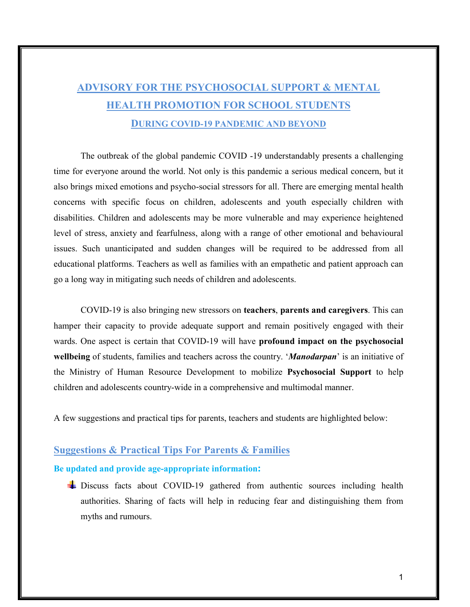# ADVISORY FOR THE PSYCHOSOCIAL SUPPORT & MENTAL HEALTH PROMOTION FOR SCHOOL STUDENTS DURING COVID-19 PANDEMIC AND BEYOND

The outbreak of the global pandemic COVID -19 understandably presents a challenging time for everyone around the world. Not only is this pandemic a serious medical concern, but it also brings mixed emotions and psycho-social stressors for all. There are emerging mental health concerns with specific focus on children, adolescents and youth especially children with disabilities. Children and adolescents may be more vulnerable and may experience heightened level of stress, anxiety and fearfulness, along with a range of other emotional and behavioural issues. Such unanticipated and sudden changes will be required to be addressed from all educational platforms. Teachers as well as families with an empathetic and patient approach can go a long way in mitigating such needs of children and adolescents.

COVID-19 is also bringing new stressors on teachers, parents and caregivers. This can hamper their capacity to provide adequate support and remain positively engaged with their wards. One aspect is certain that COVID-19 will have profound impact on the psychosocial wellbeing of students, families and teachers across the country. '*Manodarpan*' is an initiative of the Ministry of Human Resource Development to mobilize Psychosocial Support to help children and adolescents country-wide in a comprehensive and multimodal manner.

A few suggestions and practical tips for parents, teachers and students are highlighted below:

# Suggestions & Practical Tips For Parents & Families

## Be updated and provide age-appropriate information:

Discuss facts about COVID-19 gathered from authentic sources including health authorities. Sharing of facts will help in reducing fear and distinguishing them from myths and rumours.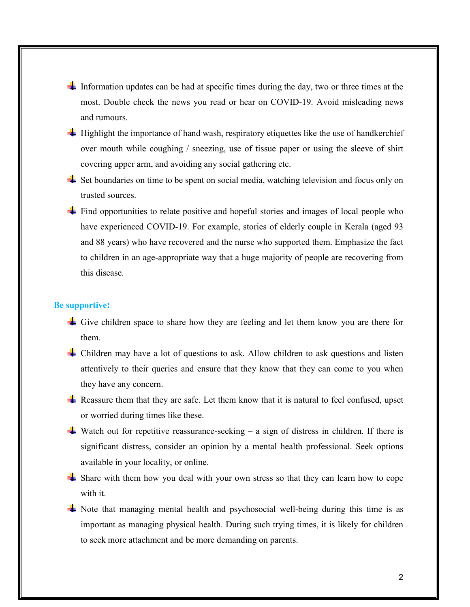- Information updates can be had at specific times during the day, two or three times at the most. Double check the news you read or hear on COVID-19. Avoid misleading news and rumours.
- $\pm$  Highlight the importance of hand wash, respiratory etiquettes like the use of handkerchief over mouth while coughing / sneezing, use of tissue paper or using the sleeve of shirt covering upper arm, and avoiding any social gathering etc.
- $\pm$  Set boundaries on time to be spent on social media, watching television and focus only on trusted sources.
- $\pm$  Find opportunities to relate positive and hopeful stories and images of local people who have experienced COVID-19. For example, stories of elderly couple in Kerala (aged 93 and 88 years) who have recovered and the nurse who supported them. Emphasize the fact to children in an age-appropriate way that a huge majority of people are recovering from this disease.

#### Be supportive:

- Give children space to share how they are feeling and let them know you are there for them.
- Children may have a lot of questions to ask. Allow children to ask questions and listen attentively to their queries and ensure that they know that they can come to you when they have any concern.
- Reassure them that they are safe. Let them know that it is natural to feel confused, upset or worried during times like these.
- Watch out for repetitive reassurance-seeking a sign of distress in children. If there is significant distress, consider an opinion by a mental health professional. Seek options available in your locality, or online.
- Share with them how you deal with your own stress so that they can learn how to cope with it.
- $\pm$  Note that managing mental health and psychosocial well-being during this time is as important as managing physical health. During such trying times, it is likely for children to seek more attachment and be more demanding on parents.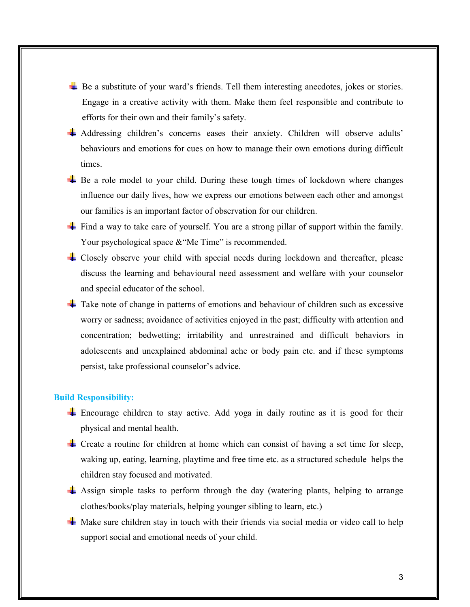- Be a substitute of your ward's friends. Tell them interesting anecdotes, jokes or stories. Engage in a creative activity with them. Make them feel responsible and contribute to efforts for their own and their family's safety.
- Addressing children's concerns eases their anxiety. Children will observe adults' behaviours and emotions for cues on how to manage their own emotions during difficult times.
- $\pm$  Be a role model to your child. During these tough times of lockdown where changes influence our daily lives, how we express our emotions between each other and amongst our families is an important factor of observation for our children.
- $\pm$  Find a way to take care of yourself. You are a strong pillar of support within the family. Your psychological space & "Me Time" is recommended.
- Closely observe your child with special needs during lockdown and thereafter, please discuss the learning and behavioural need assessment and welfare with your counselor and special educator of the school.
- Take note of change in patterns of emotions and behaviour of children such as excessive worry or sadness; avoidance of activities enjoyed in the past; difficulty with attention and concentration; bedwetting; irritability and unrestrained and difficult behaviors in adolescents and unexplained abdominal ache or body pain etc. and if these symptoms persist, take professional counselor's advice.

### Build Responsibility:

- $\pm$  Encourage children to stay active. Add yoga in daily routine as it is good for their physical and mental health.
- $\pm$  Create a routine for children at home which can consist of having a set time for sleep, waking up, eating, learning, playtime and free time etc. as a structured schedule helps the children stay focused and motivated.
- Assign simple tasks to perform through the day (watering plants, helping to arrange clothes/books/play materials, helping younger sibling to learn, etc.)
- $\pm$  Make sure children stay in touch with their friends via social media or video call to help support social and emotional needs of your child.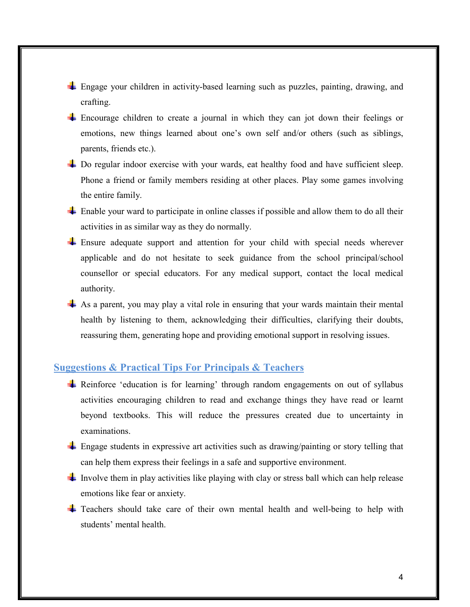- Engage your children in activity-based learning such as puzzles, painting, drawing, and crafting.
- Encourage children to create a journal in which they can jot down their feelings or emotions, new things learned about one's own self and/or others (such as siblings, parents, friends etc.).
- ↓ Do regular indoor exercise with your wards, eat healthy food and have sufficient sleep. Phone a friend or family members residing at other places. Play some games involving the entire family.
- $\pm$  Enable your ward to participate in online classes if possible and allow them to do all their activities in as similar way as they do normally.
- Ensure adequate support and attention for your child with special needs wherever applicable and do not hesitate to seek guidance from the school principal/school counsellor or special educators. For any medical support, contact the local medical authority.
- $\pm$  As a parent, you may play a vital role in ensuring that your wards maintain their mental health by listening to them, acknowledging their difficulties, clarifying their doubts, reassuring them, generating hope and providing emotional support in resolving issues.

# Suggestions & Practical Tips For Principals & Teachers

- Reinforce 'education is for learning' through random engagements on out of syllabus activities encouraging children to read and exchange things they have read or learnt beyond textbooks. This will reduce the pressures created due to uncertainty in examinations.
- Engage students in expressive art activities such as drawing/painting or story telling that can help them express their feelings in a safe and supportive environment.
- Involve them in play activities like playing with clay or stress ball which can help release emotions like fear or anxiety.
- Teachers should take care of their own mental health and well-being to help with students' mental health.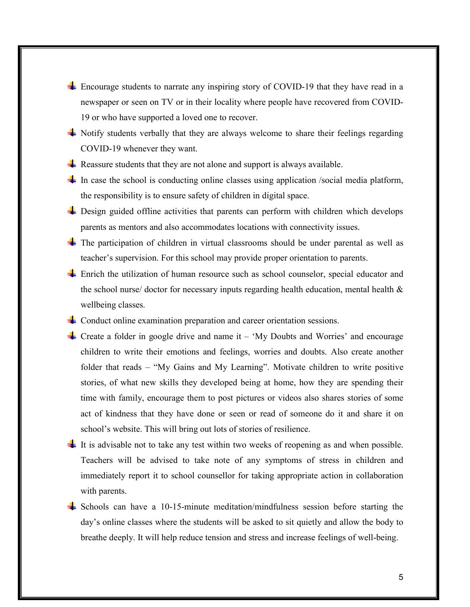- Encourage students to narrate any inspiring story of COVID-19 that they have read in a newspaper or seen on TV or in their locality where people have recovered from COVID-19 or who have supported a loved one to recover.
- Notify students verbally that they are always welcome to share their feelings regarding COVID-19 whenever they want.
- Reassure students that they are not alone and support is always available.
- In case the school is conducting online classes using application /social media platform, the responsibility is to ensure safety of children in digital space.
- **Example 1** Design guided offline activities that parents can perform with children which develops parents as mentors and also accommodates locations with connectivity issues.
- $\pm$  The participation of children in virtual classrooms should be under parental as well as teacher's supervision. For this school may provide proper orientation to parents.
- Enrich the utilization of human resource such as school counselor, special educator and the school nurse/ doctor for necessary inputs regarding health education, mental health  $\&$ wellbeing classes.
- **L** Conduct online examination preparation and career orientation sessions.
- For Create a folder in google drive and name it  $-$  'My Doubts and Worries' and encourage children to write their emotions and feelings, worries and doubts. Also create another folder that reads – "My Gains and My Learning". Motivate children to write positive stories, of what new skills they developed being at home, how they are spending their time with family, encourage them to post pictures or videos also shares stories of some act of kindness that they have done or seen or read of someone do it and share it on school's website. This will bring out lots of stories of resilience.
- It is advisable not to take any test within two weeks of reopening as and when possible. Teachers will be advised to take note of any symptoms of stress in children and immediately report it to school counsellor for taking appropriate action in collaboration with parents.
- $\pm$  Schools can have a 10-15-minute meditation/mindfulness session before starting the day's online classes where the students will be asked to sit quietly and allow the body to breathe deeply. It will help reduce tension and stress and increase feelings of well-being.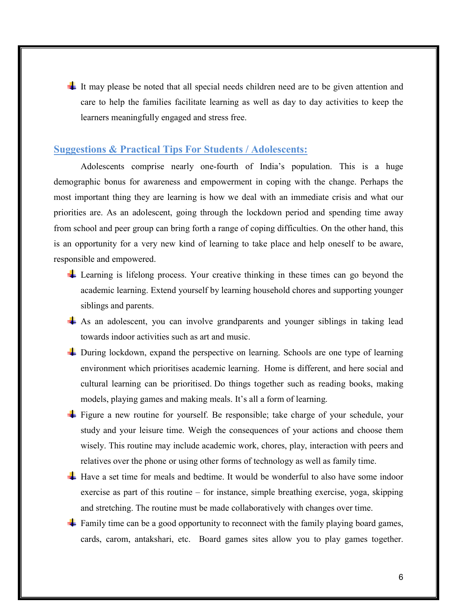It may please be noted that all special needs children need are to be given attention and care to help the families facilitate learning as well as day to day activities to keep the learners meaningfully engaged and stress free.

## Suggestions & Practical Tips For Students / Adolescents:

Adolescents comprise nearly one-fourth of India's population. This is a huge demographic bonus for awareness and empowerment in coping with the change. Perhaps the most important thing they are learning is how we deal with an immediate crisis and what our priorities are. As an adolescent, going through the lockdown period and spending time away from school and peer group can bring forth a range of coping difficulties. On the other hand, this is an opportunity for a very new kind of learning to take place and help oneself to be aware, responsible and empowered.

- Learning is lifelong process. Your creative thinking in these times can go beyond the academic learning. Extend yourself by learning household chores and supporting younger siblings and parents.
- As an adolescent, you can involve grandparents and younger siblings in taking lead towards indoor activities such as art and music.
- During lockdown, expand the perspective on learning. Schools are one type of learning environment which prioritises academic learning. Home is different, and here social and cultural learning can be prioritised. Do things together such as reading books, making models, playing games and making meals. It's all a form of learning.
- Figure a new routine for yourself. Be responsible; take charge of your schedule, your study and your leisure time. Weigh the consequences of your actions and choose them wisely. This routine may include academic work, chores, play, interaction with peers and relatives over the phone or using other forms of technology as well as family time.
- Have a set time for meals and bedtime. It would be wonderful to also have some indoor exercise as part of this routine – for instance, simple breathing exercise, yoga, skipping and stretching. The routine must be made collaboratively with changes over time.
- $\pm$  Family time can be a good opportunity to reconnect with the family playing board games, cards, carom, antakshari, etc. Board games sites allow you to play games together.